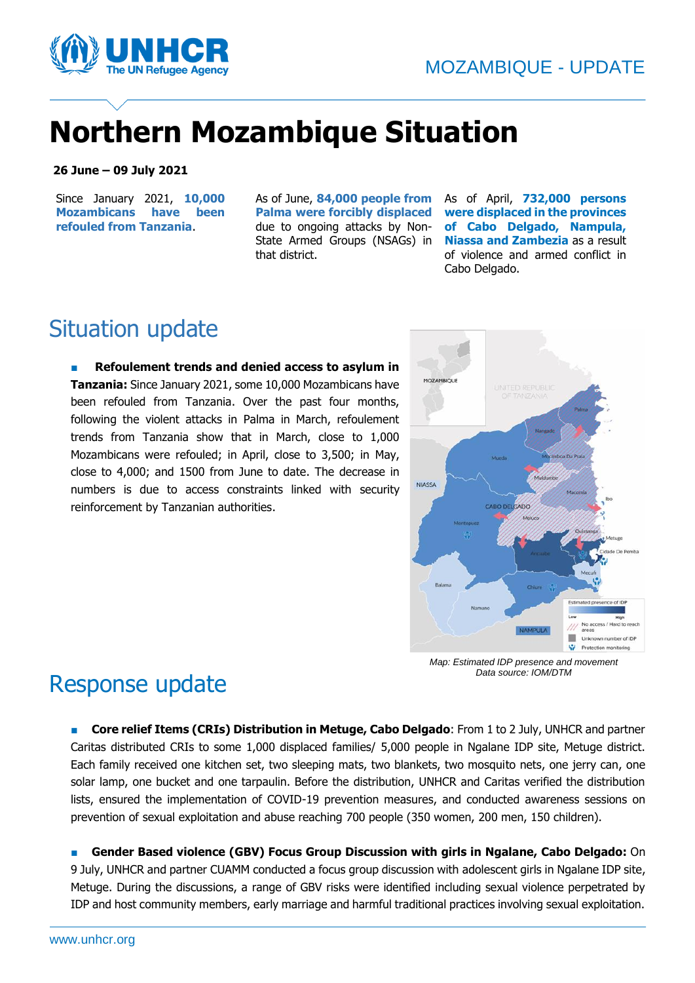

# **Northern Mozambique Situation**

#### **26 June – 09 July 2021**

Since January 2021, **10,000 Mozambicans have been refouled from Tanzania**.

As of June, **84,000 people from Palma were forcibly displaced** due to ongoing attacks by Non-State Armed Groups (NSAGs) in that district.

As of April, **732,000 persons were displaced in the provinces of Cabo Delgado, Nampula, Niassa and Zambezia** as a result of violence and armed conflict in Cabo Delgado.

### Situation update

**Refoulement trends and denied access to asylum in Tanzania:** Since January 2021, some 10,000 Mozambicans have been refouled from Tanzania. Over the past four months, following the violent attacks in Palma in March, refoulement trends from Tanzania show that in March, close to 1,000 Mozambicans were refouled; in April, close to 3,500; in May, close to 4,000; and 1500 from June to date. The decrease in numbers is due to access constraints linked with security reinforcement by Tanzanian authorities.



*Map: Estimated IDP presence and movement Data source: IOM/DTM*

### Response update

■ **Core relief Items (CRIs) Distribution in Metuge, Cabo Delgado**: From 1 to 2 July, UNHCR and partner Caritas distributed CRIs to some 1,000 displaced families/ 5,000 people in Ngalane IDP site, Metuge district. Each family received one kitchen set, two sleeping mats, two blankets, two mosquito nets, one jerry can, one solar lamp, one bucket and one tarpaulin. Before the distribution, UNHCR and Caritas verified the distribution lists, ensured the implementation of COVID-19 prevention measures, and conducted awareness sessions on prevention of sexual exploitation and abuse reaching 700 people (350 women, 200 men, 150 children).

■ **Gender Based violence (GBV) Focus Group Discussion with girls in Ngalane, Cabo Delgado:** On 9 July, UNHCR and partner CUAMM conducted a focus group discussion with adolescent girls in Ngalane IDP site, Metuge. During the discussions, a range of GBV risks were identified including sexual violence perpetrated by IDP and host community members, early marriage and harmful traditional practices involving sexual exploitation.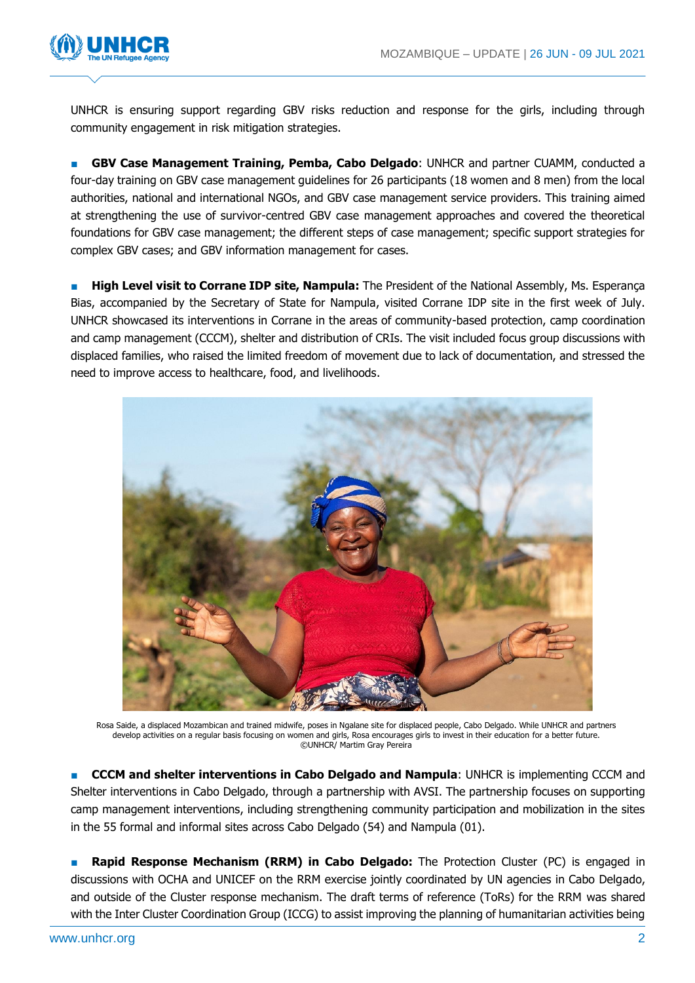

UNHCR is ensuring support regarding GBV risks reduction and response for the girls, including through community engagement in risk mitigation strategies.

■ **GBV Case Management Training, Pemba, Cabo Delgado**: UNHCR and partner CUAMM, conducted a four-day training on GBV case management guidelines for 26 participants (18 women and 8 men) from the local authorities, national and international NGOs, and GBV case management service providers. This training aimed at strengthening the use of survivor-centred GBV case management approaches and covered the theoretical foundations for GBV case management; the different steps of case management; specific support strategies for complex GBV cases; and GBV information management for cases.

**High Level visit to Corrane IDP site, Nampula:** The President of the National Assembly, Ms. Esperança Bias, accompanied by the Secretary of State for Nampula, visited Corrane IDP site in the first week of July. UNHCR showcased its interventions in Corrane in the areas of community-based protection, camp coordination and camp management (CCCM), shelter and distribution of CRIs. The visit included focus group discussions with displaced families, who raised the limited freedom of movement due to lack of documentation, and stressed the need to improve access to healthcare, food, and livelihoods.



Rosa Saide, a displaced Mozambican and trained midwife, poses in Ngalane site for displaced people, Cabo Delgado. While UNHCR and partners develop activities on a regular basis focusing on women and girls, Rosa encourages girls to invest in their education for a better future. ©UNHCR/ Martim Gray Pereira

■ **CCCM and shelter interventions in Cabo Delgado and Nampula**: UNHCR is implementing CCCM and Shelter interventions in Cabo Delgado, through a partnership with AVSI. The partnership focuses on supporting camp management interventions, including strengthening community participation and mobilization in the sites in the 55 formal and informal sites across Cabo Delgado (54) and Nampula (01).

■ **Rapid Response Mechanism (RRM) in Cabo Delgado:** The Protection Cluster (PC) is engaged in discussions with OCHA and UNICEF on the RRM exercise jointly coordinated by UN agencies in Cabo Delgado, and outside of the Cluster response mechanism. The draft terms of reference (ToRs) for the RRM was shared with the Inter Cluster Coordination Group (ICCG) to assist improving the planning of humanitarian activities being